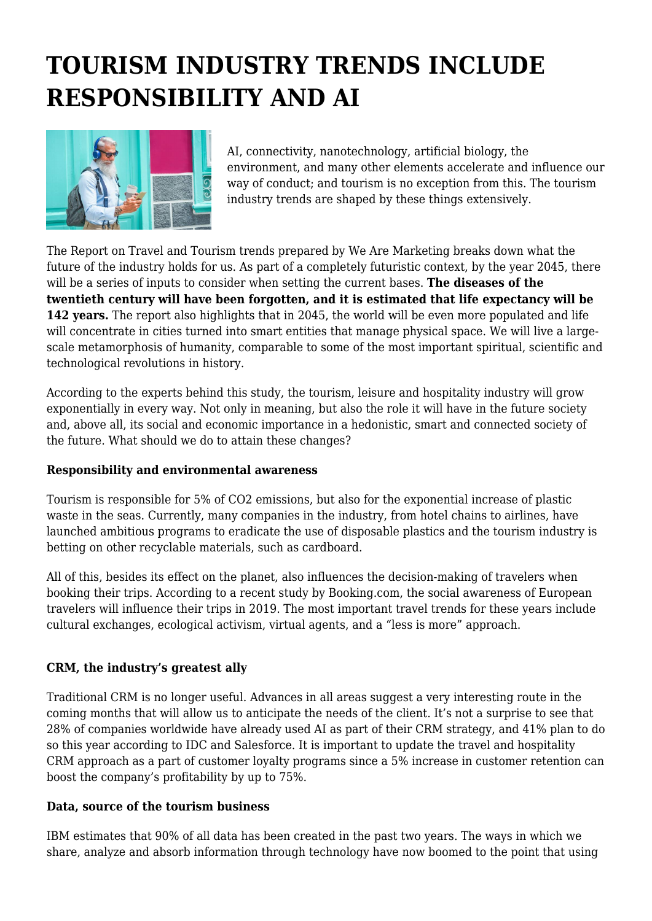# **TOURISM INDUSTRY TRENDS INCLUDE RESPONSIBILITY AND AI**



AI, connectivity, nanotechnology, artificial biology, the environment, and many other elements accelerate and influence our way of conduct; and tourism is no exception from this. The tourism industry trends are shaped by these things extensively.

The Report on Travel and Tourism trends prepared by We Are Marketing breaks down what the future of the industry holds for us. As part of a completely futuristic context, by the year 2045, there will be a series of inputs to consider when setting the current bases. **The diseases of the twentieth century will have been forgotten, and it is estimated that life expectancy will be 142 years.** The report also highlights that in 2045, the world will be even more populated and life will concentrate in cities turned into smart entities that manage physical space. We will live a largescale metamorphosis of humanity, comparable to some of the most important spiritual, scientific and technological revolutions in history.

According to the experts behind this study, the tourism, leisure and hospitality industry will grow exponentially in every way. Not only in meaning, but also the role it will have in the future society and, above all, its social and economic importance in a hedonistic, smart and connected society of the future. What should we do to attain these changes?

# **Responsibility and environmental awareness**

Tourism is responsible for 5% of CO2 emissions, but also for the exponential increase of plastic waste in the seas. Currently, many companies in the industry, from hotel chains to airlines, have launched ambitious programs to eradicate the use of disposable plastics and the tourism industry is betting on other recyclable materials, such as cardboard.

All of this, besides its effect on the planet, also influences the decision-making of travelers when booking their trips. According to a recent study by Booking.com, the social awareness of European travelers will influence their trips in 2019. The most important travel trends for these years include cultural exchanges, ecological activism, virtual agents, and a "less is more" approach.

# **CRM, the industry's greatest ally**

Traditional CRM is no longer useful. Advances in all areas suggest a very interesting route in the coming months that will allow us to anticipate the needs of the client. It's not a surprise to see that 28% of companies worldwide have already used AI as part of their CRM strategy, and 41% plan to do so this year according to IDC and Salesforce. It is important to update the travel and hospitality CRM approach as a part of customer loyalty programs since a 5% increase in customer retention can boost the company's profitability by up to 75%.

## **Data, source of the tourism business**

IBM estimates that 90% of all data has been created in the past two years. The ways in which we share, analyze and absorb information through technology have now boomed to the point that using